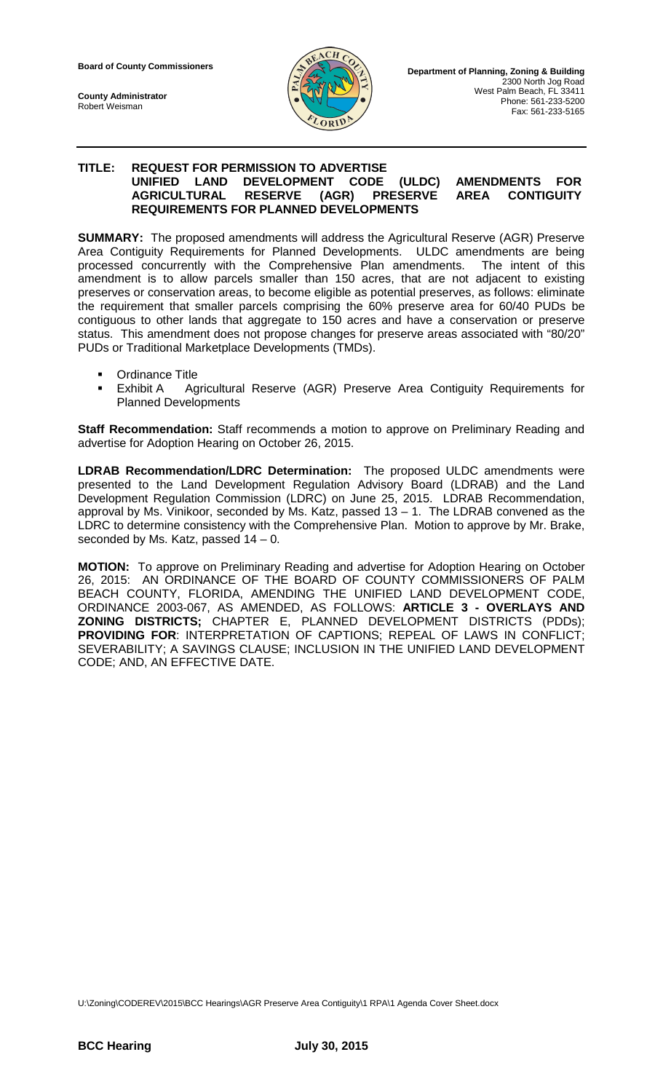**County Administrator** Robert Weisman



### **TITLE: REQUEST FOR PERMISSION TO ADVERTISE UNIFIED LAND DEVELOPMENT CODE (ULDC) AMENDMENTS FOR AGRICULTURAL RESERVE (AGR) PRESERVE AREA CONTIGUITY REQUIREMENTS FOR PLANNED DEVELOPMENTS**

**SUMMARY:** The proposed amendments will address the Agricultural Reserve (AGR) Preserve Area Contiguity Requirements for Planned Developments. ULDC amendments are being processed concurrently with the Comprehensive Plan amendments. The intent of this amendment is to allow parcels smaller than 150 acres, that are not adjacent to existing preserves or conservation areas, to become eligible as potential preserves, as follows: eliminate the requirement that smaller parcels comprising the 60% preserve area for 60/40 PUDs be contiguous to other lands that aggregate to 150 acres and have a conservation or preserve status. This amendment does not propose changes for preserve areas associated with "80/20" PUDs or Traditional Marketplace Developments (TMDs).

- Ordinance Title
- Exhibit A Agricultural Reserve (AGR) Preserve Area Contiguity Requirements for Planned Developments

**Staff Recommendation:** Staff recommends a motion to approve on Preliminary Reading and advertise for Adoption Hearing on October 26, 2015.

**LDRAB Recommendation/LDRC Determination:** The proposed ULDC amendments were presented to the Land Development Regulation Advisory Board (LDRAB) and the Land Development Regulation Commission (LDRC) on June 25, 2015. LDRAB Recommendation, approval by Ms. Vinikoor, seconded by Ms. Katz, passed 13 – 1. The LDRAB convened as the LDRC to determine consistency with the Comprehensive Plan. Motion to approve by Mr. Brake, seconded by Ms. Katz, passed 14 – 0.

**MOTION:** To approve on Preliminary Reading and advertise for Adoption Hearing on October 26, 2015: AN ORDINANCE OF THE BOARD OF COUNTY COMMISSIONERS OF PALM BEACH COUNTY, FLORIDA, AMENDING THE UNIFIED LAND DEVELOPMENT CODE, ORDINANCE 2003-067, AS AMENDED, AS FOLLOWS: **ARTICLE 3 - OVERLAYS AND ZONING DISTRICTS;** CHAPTER E, PLANNED DEVELOPMENT DISTRICTS (PDDs); **PROVIDING FOR**: INTERPRETATION OF CAPTIONS; REPEAL OF LAWS IN CONFLICT; SEVERABILITY; A SAVINGS CLAUSE; INCLUSION IN THE UNIFIED LAND DEVELOPMENT CODE; AND, AN EFFECTIVE DATE.

U:\Zoning\CODEREV\2015\BCC Hearings\AGR Preserve Area Contiguity\1 RPA\1 Agenda Cover Sheet.docx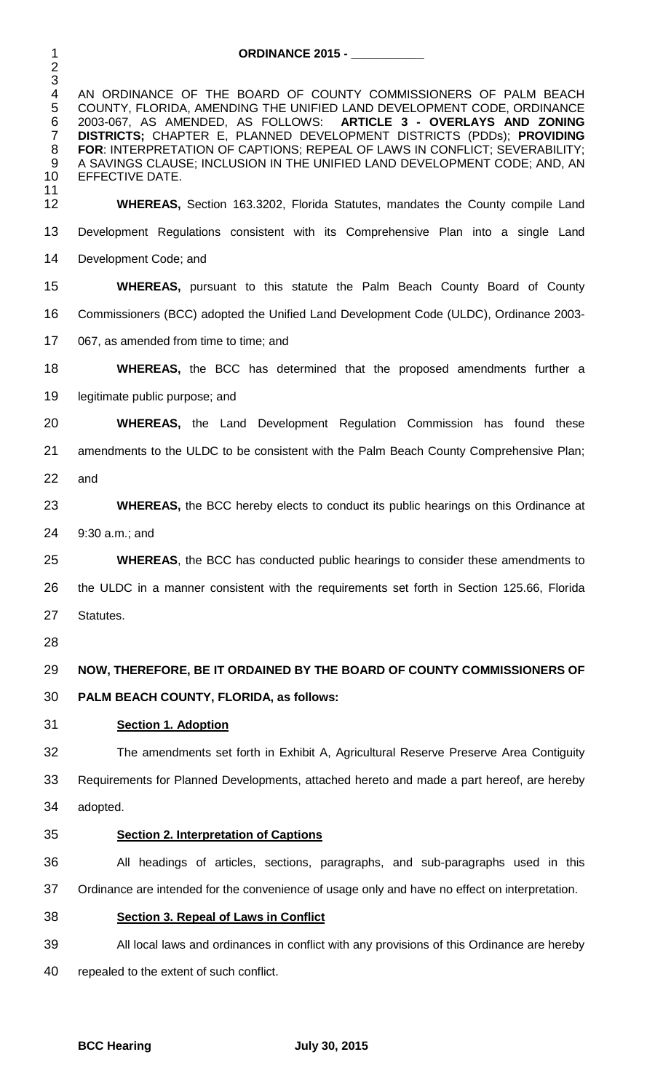**ORDINANCE 2015 - \_\_\_\_\_\_\_\_\_\_\_** 4 AN ORDINANCE OF THE BOARD OF COUNTY COMMISSIONERS OF PALM BEACH<br>5 COUNTY, FLORIDA, AMENDING THE UNIFIED LAND DEVELOPMENT CODE, ORDINANCE<br>6 2003-067, AS AMENDED, AS FOLLOWS: **ARTICLE 3 - OVERLAYS AND ZONING** COUNTY, FLORIDA, AMENDING THE UNIFIED LAND DEVELOPMENT CODE, ORDINANCE 2003-067, AS AMENDED, AS FOLLOWS: **ARTICLE 3 - OVERLAYS AND ZONING**  2003-067, AS AMENDED, AS FOLLOWS: **ARTICLE 3 - OVERLAYS AND ZONING DISTRICTS;** CHAPTER E, PLANNED DEVELOPMENT DISTRICTS (PDDs); **PROVIDING FOR**: INTERPRETATION OF CAPTIONS; REPEAL OF LAWS IN CONFLICT; SEVERABILITY;<br>9 A SAVINGS CLAUSE; INCLUSION IN THE UNIFIED LAND DEVELOPMENT CODE; AND, AN 9 A SAVINGS CLAUSE; INCLUSION IN THE UNIFIED LAND DEVELOPMENT CODE; AND, AN<br>10 EFFECTIVE DATE. EFFECTIVE DATE. 11<br>12 **WHEREAS,** Section 163.3202, Florida Statutes, mandates the County compile Land Development Regulations consistent with its Comprehensive Plan into a single Land Development Code; and **WHEREAS,** pursuant to this statute the Palm Beach County Board of County Commissioners (BCC) adopted the Unified Land Development Code (ULDC), Ordinance 2003- 067, as amended from time to time; and **WHEREAS,** the BCC has determined that the proposed amendments further a legitimate public purpose; and **WHEREAS,** the Land Development Regulation Commission has found these amendments to the ULDC to be consistent with the Palm Beach County Comprehensive Plan; and **WHEREAS,** the BCC hereby elects to conduct its public hearings on this Ordinance at 9:30 a.m.; and **WHEREAS**, the BCC has conducted public hearings to consider these amendments to the ULDC in a manner consistent with the requirements set forth in Section 125.66, Florida Statutes. **NOW, THEREFORE, BE IT ORDAINED BY THE BOARD OF COUNTY COMMISSIONERS OF PALM BEACH COUNTY, FLORIDA, as follows: Section 1. Adoption** The amendments set forth in Exhibit A, Agricultural Reserve Preserve Area Contiguity Requirements for Planned Developments, attached hereto and made a part hereof, are hereby adopted. **Section 2. Interpretation of Captions** All headings of articles, sections, paragraphs, and sub-paragraphs used in this Ordinance are intended for the convenience of usage only and have no effect on interpretation. **Section 3. Repeal of Laws in Conflict** All local laws and ordinances in conflict with any provisions of this Ordinance are hereby repealed to the extent of such conflict.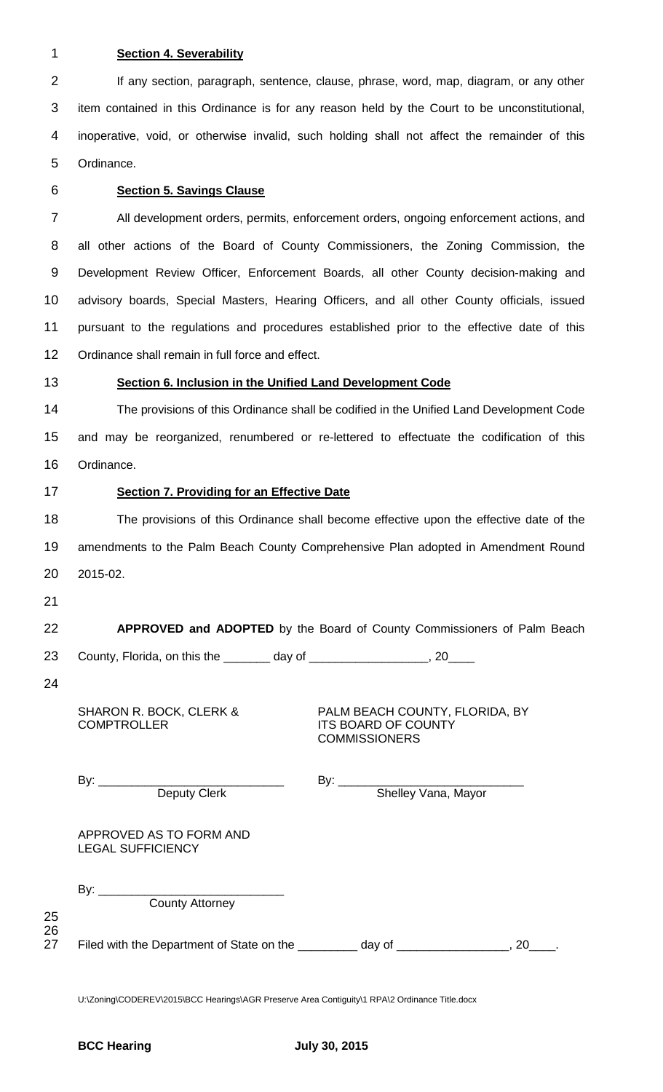## 1 **Section 4. Severability**

2 If any section, paragraph, sentence, clause, phrase, word, map, diagram, or any other item contained in this Ordinance is for any reason held by the Court to be unconstitutional, inoperative, void, or otherwise invalid, such holding shall not affect the remainder of this Ordinance.

## 6 **Section 5. Savings Clause**

 All development orders, permits, enforcement orders, ongoing enforcement actions, and all other actions of the Board of County Commissioners, the Zoning Commission, the Development Review Officer, Enforcement Boards, all other County decision-making and advisory boards, Special Masters, Hearing Officers, and all other County officials, issued pursuant to the regulations and procedures established prior to the effective date of this Ordinance shall remain in full force and effect.

## 13 **Section 6. Inclusion in the Unified Land Development Code**

14 The provisions of this Ordinance shall be codified in the Unified Land Development Code 15 and may be reorganized, renumbered or re-lettered to effectuate the codification of this 16 Ordinance.

## 17 **Section 7. Providing for an Effective Date**

18 The provisions of this Ordinance shall become effective upon the effective date of the 19 amendments to the Palm Beach County Comprehensive Plan adopted in Amendment Round 20 2015-02.

21

# 22 **APPROVED and ADOPTED** by the Board of County Commissioners of Palm Beach

23 County, Florida, on this the \_\_\_\_\_\_\_ day of \_\_\_\_\_\_\_\_\_\_\_\_\_\_\_\_\_, 20\_

24

25 26<br>27 SHARON R. BOCK, CLERK & **COMPTROLLER** 

PALM BEACH COUNTY, FLORIDA, BY ITS BOARD OF COUNTY **COMMISSIONERS** 

|          | By:<br><u> 1989 - Johann Barbara, martin a</u>               | By:                 |  |
|----------|--------------------------------------------------------------|---------------------|--|
|          | <b>Deputy Clerk</b>                                          | Shelley Vana, Mayor |  |
|          | APPROVED AS TO FORM AND<br><b>LEGAL SUFFICIENCY</b>          |                     |  |
| 25<br>26 | By:<br><b>County Attorney</b>                                |                     |  |
| 27       | Filed with the Department of State on the ___________ day of | 20                  |  |

U:\Zoning\CODEREV\2015\BCC Hearings\AGR Preserve Area Contiguity\1 RPA\2 Ordinance Title.docx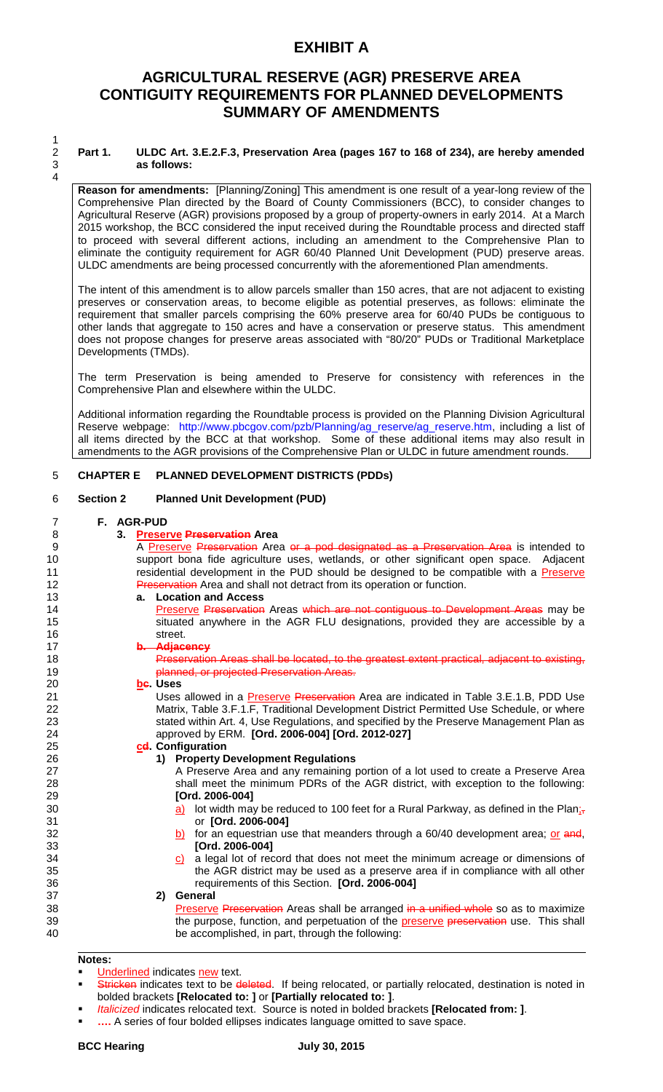# **EXHIBIT A**

# **AGRICULTURAL RESERVE (AGR) PRESERVE AREA CONTIGUITY REQUIREMENTS FOR PLANNED DEVELOPMENTS SUMMARY OF AMENDMENTS**

 $\frac{1}{2}$ 4

### 2 **Part 1. ULDC Art. 3.E.2.F.3, Preservation Area (pages 167 to 168 of 234), are hereby amended**  3 **as follows:**

**Reason for amendments:** [Planning/Zoning] This amendment is one result of a year-long review of the Comprehensive Plan directed by the Board of County Commissioners (BCC), to consider changes to Agricultural Reserve (AGR) provisions proposed by a group of property-owners in early 2014. At a March 2015 workshop, the BCC considered the input received during the Roundtable process and directed staff to proceed with several different actions, including an amendment to the Comprehensive Plan to eliminate the contiguity requirement for AGR 60/40 Planned Unit Development (PUD) preserve areas. ULDC amendments are being processed concurrently with the aforementioned Plan amendments.

The intent of this amendment is to allow parcels smaller than 150 acres, that are not adjacent to existing preserves or conservation areas, to become eligible as potential preserves, as follows: eliminate the requirement that smaller parcels comprising the 60% preserve area for 60/40 PUDs be contiguous to other lands that aggregate to 150 acres and have a conservation or preserve status. This amendment does not propose changes for preserve areas associated with "80/20" PUDs or Traditional Marketplace Developments (TMDs).

The term Preservation is being amended to Preserve for consistency with references in the Comprehensive Plan and elsewhere within the ULDC.

Additional information regarding the Roundtable process is provided on the Planning Division Agricultural Reserve webpage: http://www.pbcgov.com/pzb/Planning/ag\_reserve/ag\_reserve.htm, including a list of all items directed by the BCC at that workshop. Some of these additional items may also result in amendments to the AGR provisions of the Comprehensive Plan or ULDC in future amendment rounds.

### 5 **CHAPTER E PLANNED DEVELOPMENT DISTRICTS (PDDs)**

### 6 **Section 2 Planned Unit Development (PUD)**

#### 7 **F. AGR-PUD**

| 8  | 3. Preserve Preservation Area                                                                     |
|----|---------------------------------------------------------------------------------------------------|
| 9  | A Preserve Preservation Area or a pod designated as a Preservation Area is intended to            |
| 10 | support bona fide agriculture uses, wetlands, or other significant open space. Adjacent           |
| 11 | residential development in the PUD should be designed to be compatible with a Preserve            |
| 12 | Preservation Area and shall not detract from its operation or function.                           |
| 13 | a. Location and Access                                                                            |
| 14 | Preserve Preservation Areas which are not contiguous to Development Areas may be                  |
| 15 | situated anywhere in the AGR FLU designations, provided they are accessible by a                  |
| 16 | street.                                                                                           |
| 17 | b. Adjacency                                                                                      |
| 18 | Preservation Areas shall be located, to the greatest extent practical, adjacent to existing,      |
| 19 | planned, or projected Preservation Areas.                                                         |
| 20 | be. Uses                                                                                          |
| 21 | Uses allowed in a <b>Preserve Preservation</b> Area are indicated in Table 3.E.1.B, PDD Use       |
| 22 | Matrix, Table 3.F.1.F, Traditional Development District Permitted Use Schedule, or where          |
| 23 | stated within Art. 4, Use Regulations, and specified by the Preserve Management Plan as           |
| 24 | approved by ERM. [Ord. 2006-004] [Ord. 2012-027]                                                  |
| 25 | cd Configuration                                                                                  |
| 26 | 1) Property Development Regulations                                                               |
| 27 | A Preserve Area and any remaining portion of a lot used to create a Preserve Area                 |
| 28 | shall meet the minimum PDRs of the AGR district, with exception to the following:                 |
| 29 | [Ord. 2006-004]                                                                                   |
| 30 | a) lot width may be reduced to 100 feet for a Rural Parkway, as defined in the Plan <sub>is</sub> |
| 31 | or [Ord. 2006-004]                                                                                |
| 32 | b) for an equestrian use that meanders through a $60/40$ development area; or and,                |
| 33 | [Ord. 2006-004]                                                                                   |
| 34 | c) a legal lot of record that does not meet the minimum acreage or dimensions of                  |
| 35 | the AGR district may be used as a preserve area if in compliance with all other                   |
| 36 | requirements of this Section. [Ord. 2006-004]                                                     |
| 37 | General<br>2)                                                                                     |
| 38 | Preserve Preservation Areas shall be arranged in a unified whole so as to maximize                |
| 39 | the purpose, function, and perpetuation of the preserve preservation use. This shall              |
| 40 | be accomplished, in part, through the following:                                                  |
|    |                                                                                                   |
|    |                                                                                                   |

#### **Notes:**

- Underlined indicates new text.
- Stricken indicates text to be deleted. If being relocated, or partially relocated, destination is noted in bolded brackets **[Relocated to: ]** or **[Partially relocated to: ]**.
- *Italicized* indicates relocated text. Source is noted in bolded brackets **[Relocated from: ]**.
- **….** A series of four bolded ellipses indicates language omitted to save space.